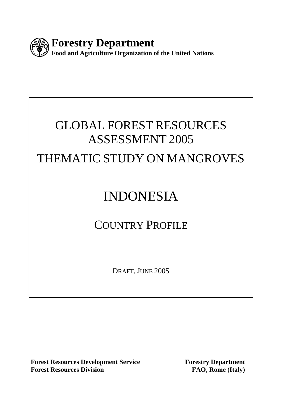

# GLOBAL FOREST RESOURCES ASSESSMENT 2005

## THEMATIC STUDY ON MANGROVES

# INDONESIA

## COUNTRY PROFILE

DRAFT, JUNE 2005

**Forest Resources Development Service Forestry Department Forest Resources Division** FAO, Rome (Italy)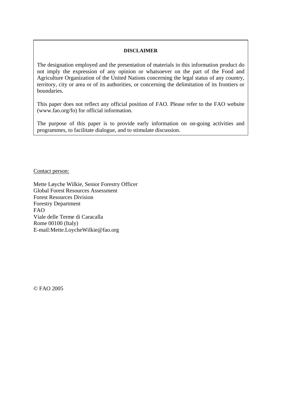#### **DISCLAIMER**

The designation employed and the presentation of materials in this information product do not imply the expression of any opinion or whatsoever on the part of the Food and Agriculture Organization of the United Nations concerning the legal status of any country, territory, city or area or of its authorities, or concerning the delimitation of its frontiers or boundaries.

This paper does not reflect any official position of FAO. Please refer to the FAO website (www.fao.org/fo) for official information.

The purpose of this paper is to provide early information on on-going activities and programmes, to facilitate dialogue, and to stimulate discussion.

Contact person:

Mette Løyche Wilkie, Senior Forestry Officer Global Forest Resources Assessment Forest Resources Division Forestry Department FAO Viale delle Terme di Caracalla Rome 00100 (Italy) E-mail:Mette.LoycheWilkie@fao.org

© FAO 2005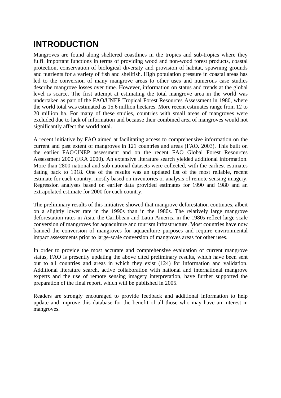## **INTRODUCTION**

Mangroves are found along sheltered coastlines in the tropics and sub-tropics where they fulfil important functions in terms of providing wood and non-wood forest products, coastal protection, conservation of biological diversity and provision of habitat, spawning grounds and nutrients for a variety of fish and shellfish. High population pressure in coastal areas has led to the conversion of many mangrove areas to other uses and numerous case studies describe mangrove losses over time. However, information on status and trends at the global level is scarce. The first attempt at estimating the total mangrove area in the world was undertaken as part of the FAO/UNEP Tropical Forest Resources Assessment in 1980, where the world total was estimated as 15.6 million hectares. More recent estimates range from 12 to 20 million ha. For many of these studies, countries with small areas of mangroves were excluded due to lack of information and because their combined area of mangroves would not significantly affect the world total.

A recent initiative by FAO aimed at facilitating access to comprehensive information on the current and past extent of mangroves in 121 countries and areas (FAO. 2003). This built on the earlier FAO/UNEP assessment and on the recent FAO Global Forest Resources Assessment 2000 (FRA 2000). An extensive literature search yielded additional information. More than 2800 national and sub-national datasets were collected, with the earliest estimates dating back to 1918. One of the results was an updated list of the most reliable, recent estimate for each country, mostly based on inventories or analysis of remote sensing imagery. Regression analyses based on earlier data provided estimates for 1990 and 1980 and an extrapolated estimate for 2000 for each country.

The preliminary results of this initiative showed that mangrove deforestation continues, albeit on a slightly lower rate in the 1990s than in the 1980s. The relatively large mangrove deforestation rates in Asia, the Caribbean and Latin America in the 1980s reflect large-scale conversion of mangroves for aquaculture and tourism infrastructure. Most countries have now banned the conversion of mangroves for aquaculture purposes and require environmental impact assessments prior to large-scale conversion of mangroves areas for other uses.

In order to provide the most accurate and comprehensive evaluation of current mangrove status, FAO is presently updating the above cited preliminary results, which have been sent out to all countries and areas in which they exist (124) for information and validation. Additional literature search, active collaboration with national and international mangrove experts and the use of remote sensing imagery interpretation, have further supported the preparation of the final report, which will be published in 2005.

Readers are strongly encouraged to provide feedback and additional information to help update and improve this database for the benefit of all those who may have an interest in mangroves.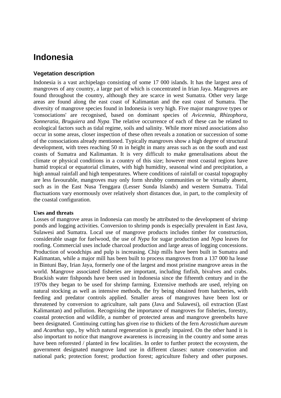### **Indonesia**

#### **Vegetation description**

Indonesia is a vast archipelago consisting of some 17 000 islands. It has the largest area of mangroves of any country, a large part of which is concentrated in Irian Jaya. Mangroves are found throughout the country, although they are scarce in west Sumatra. Other very large areas are found along the east coast of Kalimantan and the east coast of Sumatra. The diversity of mangrove species found in Indonesia is very high. Five major mangrove types or 'consociations' are recognised, based on dominant species of *Avicennia, Rhizophora, Sonneratia, Bruguiera* and *Nypa.* The relative occurrence of each of these can be related to ecological factors such as tidal regime, soils and salinity. While more mixed associations also occur in some areas, closer inspection of these often reveals a zonation or succession of some of the consociations already mentioned. Typically mangroves show a high degree of structural development, with trees reaching 50 m in height in many areas such as on the south and east coasts of Sumatra and Kalimantan. It is very difficult to make generalisations about the climate or physical conditions in a country of this size; however most coastal regions have humid tropical or equatorial climates, with high humidity, seasonal wind and precipitation, a high annual rainfall and high temperatures. Where conditions of rainfall or coastal topography are less favourable, mangroves may only form shrubby communities or be virtually absent, such as in the East Nusa Tenggara (Lesser Sunda Islands) and western Sumatra. Tidal fluctuations vary enormously over relatively short distances due, in part, to the complexity of the coastal configuration.

#### **Uses and threats**

Losses of mangrove areas in Indonesia can mostly be attributed to the development of shrimp ponds and logging activities. Conversion to shrimp ponds is especially prevalent in East Java, Sulawesi and Sumatra. Local use of mangrove products includes timber for construction, considerable usage for fuelwood, the use of *Nypa* for sugar production and *Nypa* leaves for roofing. Commercial uses include charcoal production and large areas of logging concessions. Production of woodchips and pulp is increasing. Chip mills have been built in Sumatra and Kalimantan, while a major mill has been built to process mangroves from a 137 000 ha lease in Bintuni Bay, Irian Jaya, formerly one of the largest and most pristine mangrove areas in the world. Mangrove associated fisheries are important, including finfish, bivalves and crabs. Brackish water fishponds have been used in Indonesia since the fifteenth century and in the 1970s they began to be used for shrimp farming. Extensive methods are used, relying on natural stocking as well as intensive methods, the fry being obtained from hatcheries, with feeding and predator controls applied. Smaller areas of mangroves have been lost or threatened by conversion to agriculture, salt pans (Java and Sulawesi), oil extraction (East Kalimantan) and pollution. Recognising the importance of mangroves for fisheries, forestry, coastal protection and wildlife, a number of protected areas and mangrove greenbelts have been designated. Continuing cutting has given rise to thickets of the fern *Acrostichum aureum*  and *Acanthus* spp., by which natural regeneration is greatly impaired. On the other hand it is also important to notice that mangrove awareness is increasing in the country and some areas have been reforested / planted in few localities. In order to further protect the ecosystem, the government designated mangrove land use in different classes: nature conservation and national park; protection forest; production forest; agriculture fishery and other purposes.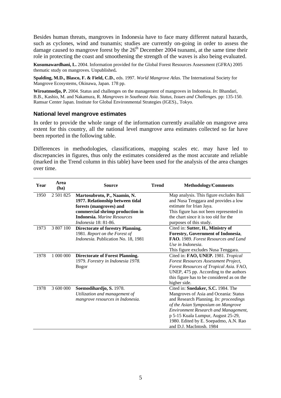Besides human threats, mangroves in Indonesia have to face many different natural hazards, such as cyclones, wind and tsunamis; studies are currently on-going in order to assess the damage caused to mangrove forest by the  $26<sup>th</sup>$  December 2004 tsunami, at the same time their role in protecting the coast and smoothening the strength of the waves is also being evaluated.

**Kusumawardhani, L.** 2004. Information provided for the Global Forest Resources Assessment (GFRA) 2005 thematic study on mangroves. Unpublished**.** 

**Spalding, M.D., Blasco, F. & Field, C.D.**, eds. 1997. *World Mangrove Atlas*. The International Society for Mangrove Ecosystems, Okinawa, Japan. 178 pp.

**Wiroatmodjo, P.** 2004. Status and challenges on the management of mangroves in Indonesia. *In*: Bhandari, B.B., Kashio, M. and Nakamura, R. *Mangroves in Southeast Asia. Status, Issues and Challenges.* pp: 135-150. Ramsar Center Japan. Institute for Global Environmental Strategies (IGES)., Tokyo.

#### **National level mangrove estimates**

In order to provide the whole range of the information currently available on mangrove area extent for this country, all the national level mangrove area estimates collected so far have been reported in the following table.

Differences in methodologies, classifications, mapping scales etc. may have led to discrepancies in figures, thus only the estimates considered as the most accurate and reliable (marked in the Trend column in this table) have been used for the analysis of the area changes over time.

| Year | Area<br>(ha) | <b>Source</b>                                                                                                    | <b>Trend</b> | <b>Methodology/Comments</b>                                                                                                                                                                                                                                                                                           |
|------|--------------|------------------------------------------------------------------------------------------------------------------|--------------|-----------------------------------------------------------------------------------------------------------------------------------------------------------------------------------------------------------------------------------------------------------------------------------------------------------------------|
| 1950 | 2 501 825    | Martosubroto, P., Naamin, N.<br>1977. Relationship between tidal<br>forests (mangroves) and                      |              | Map analysis. This figure excludes Bali<br>and Nusa Tenggara and provides a low<br>estimate for Irian Jaya.                                                                                                                                                                                                           |
|      |              | commercial shrimp production in<br><b>Indonesia.</b> Marine Resources<br><i>Indonesia</i> 18: 81-86.             |              | This figure has not been represented in<br>the chart since it is too old for the<br>purposes of this study.                                                                                                                                                                                                           |
| 1973 | 3 807 100    | <b>Directorate of forestry Planning.</b><br>1981. Report on the Forest of<br>Indonesia. Publication No. 18, 1981 |              | Cited in: Sutter, H., Ministry of<br>Forestry, Government of Indonesia,<br>FAO. 1989. Forest Resources and Land<br>Use in Indonesia.<br>This figure excludes Nusa Tenggara.                                                                                                                                           |
| 1978 | 1 000 000    | <b>Directorate of Forest Planning.</b><br>1979. Forestry in Indonesia 1978.<br><b>Bogor</b>                      |              | Cited in: FAO, UNEP. 1981. Tropical<br>Forest Resources Assessment Project,<br>Forest Resources of Tropical Asia. FAO,<br>UNEP, 475 pp. According to the authors<br>this figure has to be considered as on the<br>higher side.                                                                                        |
| 1978 | 3 600 000    | Soemodihardjo, S. 1978.<br>Utilization and management of<br>mangrove resources in Indonesia.                     |              | Cited in: Snedaker, S.C. 1984. The<br>Mangroves of Asia and Oceania: Status<br>and Research Planning. In: proceedings<br>of the Asian Symposium on Mangrove<br><b>Environment Research and Management,</b><br>p 5-15 Kuala Lumpur, August 25-29,<br>1980. Edited by E. Soepadmo, A.N. Rao<br>and D.J. MacIntosh. 1984 |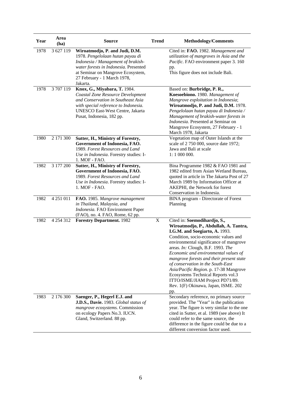| Year | Area<br>(ha)  | <b>Source</b>                                                                                                                                                                                                                     | <b>Trend</b> | <b>Methodology/Comments</b>                                                                                                                                                                                                                                                                                                                                                                                                                                                                                                            |  |  |
|------|---------------|-----------------------------------------------------------------------------------------------------------------------------------------------------------------------------------------------------------------------------------|--------------|----------------------------------------------------------------------------------------------------------------------------------------------------------------------------------------------------------------------------------------------------------------------------------------------------------------------------------------------------------------------------------------------------------------------------------------------------------------------------------------------------------------------------------------|--|--|
| 1978 | 3 627 119     | Wiroatmodjo, P. and Judi, D.M.<br>1978. Pengelolaan hutan payau di<br>Indonesia / Management of brakish-<br>water forests in Indonesia. Presented<br>at Seminar on Mangrove Ecosystem,<br>27 February - 1 March 1978,<br>Jakarta. |              | Cited in: FAO. 1982. Management and<br>utilization of mangroves in Asia and the<br>Pacific. FAO environment paper 3. 160<br>pp.<br>This figure does not include Bali.                                                                                                                                                                                                                                                                                                                                                                  |  |  |
| 1978 | 3707119       | Knox, G., Miyabara, T. 1984.<br>Coastal Zone Resource Development<br>and Conservation in Southeast Asia<br>with special reference to Indonesia.<br>UNESCO East-West Centre, Jakarta<br>Pusat, Indonesia, 182 pp.                  |              | Based on: Burbridge, P. R.,<br>Koesoebiono. 1980. Management of<br>Mangrove exploitation in Indonesia;<br>Wiroatmodjo, P. and Judi, D.M. 1978.<br>Pengelolaan hutan payau di Indonesia /<br>Management of brakish-water forests in<br>Indonesia. Presented at Seminar on<br>Mangrove Ecosystem, 27 February - 1<br>March 1978, Jakarta                                                                                                                                                                                                 |  |  |
| 1980 | 2 171 300     | Sutter, H., Ministry of Forestry,<br>Government of Indonesia, FAO.<br>1989. Forest Resources and Land<br>Use in Indonesia. Forestry studies: I-<br>1. MOF - FAO.                                                                  |              | Vegetation map of Outer Islands at the<br>scale of 2 750 000, source date 1972;<br>Jawa and Bali at scale<br>$1:1000000$ .                                                                                                                                                                                                                                                                                                                                                                                                             |  |  |
| 1982 | 3 177 200     | Sutter, H., Ministry of Forestry,<br>Government of Indonesia, FAO.<br>1989. Forest Resources and Land<br>Use in Indonesia. Forestry studies: I-<br>1. MOF - FAO.                                                                  |              | Bina Programme 1982 & FAO 1981 and<br>1982 edited from Asian Wetland Bureau,<br>quoted in article in The Jakarta Post of 27<br>March 1989 by Information Officer at<br>AKEPHI, the Network for forest<br>Conservation in Indonesia.                                                                                                                                                                                                                                                                                                    |  |  |
| 1982 | 4 251 011     | FAO. 1985. Mangrove management<br>in Thailand, Malaysia, and<br>Indonesia. FAO Environment Paper<br>(FAO), no. 4. FAO, Rome, 62 pp.                                                                                               |              | BINA program - Directorate of Forest<br>Planning                                                                                                                                                                                                                                                                                                                                                                                                                                                                                       |  |  |
| 1982 | 4 2 5 4 3 1 2 | <b>Forestry Department. 1982</b>                                                                                                                                                                                                  | $\mathbf X$  | Cited in: Soemodihardjo, S.,<br>Wiroatmodjo, P., Abdullah, A. Tantra,<br>I.G.M. and Soegiarto, A. 1993.<br>Condition, socio-economic values and<br>environmental significance of mangrove<br>areas. <i>In:</i> Clough, B.F. 1993. <i>The</i><br>Economic and environmental values of<br>mangrove forests and their present state<br>of conservation in the South-East<br>Asia/Pacific Region. p. 17-38 Mangrove<br>Ecosystems Technical Reports vol.3<br>ITTO/ISME/JIAM Project PD71/89.<br>Rev. 1(F) Okinawa, Japan, ISME. 202<br>pp. |  |  |
| 1983 | 2 176 300     | Saenger, P., Hegerl E.J. and<br>J.D.S., Davie. 1983. Global status of<br>mangrove ecosystems. Commission<br>on ecology Papers No.3. IUCN.<br>Gland, Switzerland. 88 pp.                                                           |              | Secondary reference, no primary source<br>provided. The "Year" is the publication<br>year. The figure is very similar to the one<br>cited in Sutter, et al. 1989 (see above) It<br>could refer to the same source, the<br>difference in the figure could be due to a<br>different conversion factor used.                                                                                                                                                                                                                              |  |  |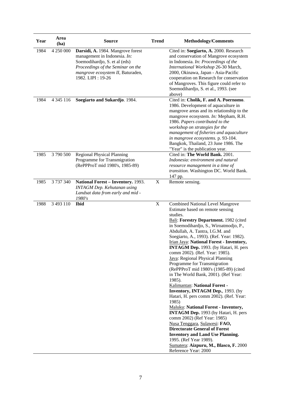| Year | Area<br>(ha)  | <b>Source</b>                                                                                                                                                                                     | <b>Trend</b> | <b>Methodology/Comments</b>                                                                                                                                                                                                                                                                                                                                                                                                                                                                                                                                                                                                                                                                                                                                                                                                                                                                                                                                                                                      |  |
|------|---------------|---------------------------------------------------------------------------------------------------------------------------------------------------------------------------------------------------|--------------|------------------------------------------------------------------------------------------------------------------------------------------------------------------------------------------------------------------------------------------------------------------------------------------------------------------------------------------------------------------------------------------------------------------------------------------------------------------------------------------------------------------------------------------------------------------------------------------------------------------------------------------------------------------------------------------------------------------------------------------------------------------------------------------------------------------------------------------------------------------------------------------------------------------------------------------------------------------------------------------------------------------|--|
| 1984 | 4 250 000     | Darsidi, A. 1984. Mangrove forest<br>management in Indonesia. In:<br>Soemodihardjo, S. et al (eds)<br>Proceedings of the Seminar on the<br>mangrove ecosystem II, Baturaden,<br>1982. LIPI: 19-26 |              | Cited in: Soegiarto, A. 2000. Research<br>and conservation of Mangrove ecosystem<br>in Indonesia. In: Proceedings of the<br>International Workshop 26-30 March,<br>2000, Okinawa, Japan - Asia-Pacific<br>cooperation on Research for conservation<br>of Mangroves. This figure could refer to<br>Soemodihardjo, S. et al., 1993. (see<br>above)                                                                                                                                                                                                                                                                                                                                                                                                                                                                                                                                                                                                                                                                 |  |
| 1984 | 4 3 4 5 1 1 6 | Soegiarto and Sukardjo. 1984.                                                                                                                                                                     |              | Cited in: Cholik, F. and A. Poernomo.<br>1986. Development of aquaculture in<br>mangrove areas and its relationship to the<br>mangrove ecosystem. In: Mepham, R.H.<br>1986. Papers contributed to the<br>workshop on strategies for the<br>management of fisheries and aquaculture<br>in mangrove ecosystems. p. 93-104.<br>Bangkok, Thailand, 23 June 1986. The<br>"Year" is the publication year.                                                                                                                                                                                                                                                                                                                                                                                                                                                                                                                                                                                                              |  |
| 1985 | 3790500       | <b>Regional Physical Planning</b><br>Programme for Transmigration<br>(RePPProT mid 1980's, 1985-89)                                                                                               |              | Cited in: The World Bank. 2001.<br>Indonesia: environment and natural<br>resource management in a time of<br>transition. Washington DC. World Bank.<br>147 pp.                                                                                                                                                                                                                                                                                                                                                                                                                                                                                                                                                                                                                                                                                                                                                                                                                                                   |  |
| 1985 | 3 737 340     | National Forest - Inventory. 1993.<br><b>INTAGM Dep. Kehutanan using</b><br>Landsat data from early and mid -<br>1980's                                                                           | X            | Remote sensing.                                                                                                                                                                                                                                                                                                                                                                                                                                                                                                                                                                                                                                                                                                                                                                                                                                                                                                                                                                                                  |  |
| 1988 | 3 493 110     | <b>Ibid</b>                                                                                                                                                                                       | X            | <b>Combined National Level Mangrove</b><br>Estimate based on remote sensing<br>studies.<br>Bali: Forestry Department. 1982 (cited<br>in Soemodihardjo, S., Wiroatmodjo, P.,<br>Abdullah, A. Tantra, I.G.M. and<br>Soegiarto, A., 1993). (Ref. Year: 1982).<br>Irian Jaya: National Forest - Inventory,<br>INTAGM Dep. 1993. (by Hatari, H. pers<br>comm 2002). (Ref. Year: 1985).<br>Java: Regional Physical Planning<br>Programme for Transmigration<br>(RePPProT mid 1980's (1985-89) (cited<br>in The World Bank, 2001). (Ref Year:<br>1985).<br>Kalimantan: National Forest -<br>Inventory, INTAGM Dep., 1993. (by<br>Hatari, H. pers comm 2002). (Ref. Year:<br>1985)<br>Maluku: National Forest - Inventory,<br><b>INTAGM Dep.</b> 1993 (by Hatari, H. pers<br>comm 2002) (Ref Year: 1985)<br>Nusa Tenggara, Sulawesi: FAO,<br><b>Directorate General of Forest</b><br><b>Inventory and Land Use Planning.</b><br>1995. (Ref Year 1989).<br>Sumatera: Aizpuru, M., Blasco, F. 2000<br>Reference Year: 2000 |  |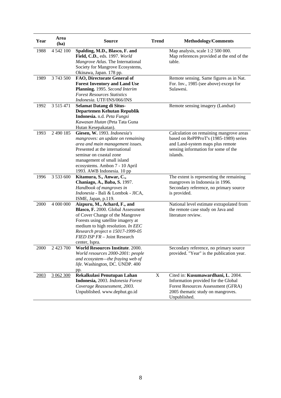| Year | Area<br>(ha)  | <b>Trend</b><br><b>Source</b>                                                                                                                                                                                                                                          |   | <b>Methodology/Comments</b>                                                                                                                                              |  |  |
|------|---------------|------------------------------------------------------------------------------------------------------------------------------------------------------------------------------------------------------------------------------------------------------------------------|---|--------------------------------------------------------------------------------------------------------------------------------------------------------------------------|--|--|
| 1988 | 4 542 100     | Spalding, M.D., Blasco, F. and<br>Field, C.D., eds. 1997. World<br>Mangrove Atlas. The International<br>Society for Mangrove Ecosystems,<br>Okinawa, Japan. 178 pp.                                                                                                    |   | Map analysis, scale 1:2 500 000.<br>Map references provided at the end of the<br>table.                                                                                  |  |  |
| 1989 | 3 743 500     | FAO, Directorate General of<br><b>Forest Inventory and Land Use</b><br>Planning. 1995. Second Interim<br><b>Forest Resources Statistics</b><br>Indonesia. UTF/INS/066/INS                                                                                              |   | Remote sensing. Same figures as in Nat.<br>For. Inv., 1985 (see above) except for<br>Sulawesi.                                                                           |  |  |
| 1992 | 3 5 1 5 4 7 1 | <b>Selamat Datang di Situs-</b><br>Departemen Kehutan Republik<br>Indonesia. n.d. Peta Fungsi<br>Kawasan Hutan (Peta Tata Guna<br>Hutan Kesepakatan).                                                                                                                  |   | Remote sensing imagery (Landsat)                                                                                                                                         |  |  |
| 1993 | 2 490 185     | Giesen, W. 1993. Indonesia's<br>mangroves: an update on remaining<br>area and main management issues.<br>Presented at the international<br>seminar on coastal zone<br>management of small island<br>ecosystems. Ambon 7 - 10 April<br>1993. AWB Indonesia. 10 pp       |   | Calculation on remaining mangrove areas<br>based on RePPProT's (1985-1989) series<br>and Land-system maps plus remote<br>sensing information for some of the<br>islands. |  |  |
| 1996 | 3 533 600     | Kitamura, S., Anwar, C.,<br>Chaniago, A., Baba, S. 1997.<br>Handbook of mangroves in<br>Indonesia - Bali & Lombok - JICA,<br>ISME, Japan, p.119.                                                                                                                       |   | The extent is representing the remaining<br>mangroves in Indonesia in 1996.<br>Secondary reference, no primary source<br>is provided.                                    |  |  |
| 2000 | 4 000 000     | Aizpuru, M., Achard, F., and<br>Blasco, F. 2000. Global Assessment<br>of Cover Change of the Mangrove<br>Forests using satellite imagery at<br>medium to high resolution. In EEC<br>Research project n 15017-1999-05<br>FIED ISP FR - Joint Research<br>center, Ispra. |   | National level estimate extrapolated from<br>the remote case study on Java and<br>literature review.                                                                     |  |  |
| 2000 | 2 423 700     | World Resources Institute. 2000.<br>World resources 2000-2001: people<br>and ecosystem-the fraying web of<br>life. Washington, DC. UNDP. 400<br>pp.                                                                                                                    |   | Secondary reference, no primary source<br>provided. "Year" is the publication year.                                                                                      |  |  |
| 2003 | 3 062 300     | Rekalkulasi Penutupan Lahan<br>Indonesia, 2003. Indonesia Forest<br>Coverage Reassessment, 2003.<br>Unpublished. www.dephut.go.id                                                                                                                                      | X | Cited in: Kusumawardhani, L. 2004.<br>Information provided for the Global<br>Forest Resources Assessment (GFRA)<br>2005 thematic study on mangroves.<br>Unpublished.     |  |  |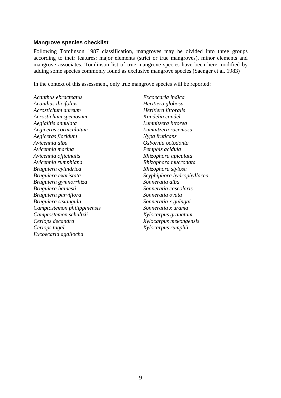#### **Mangrove species checklist**

Following Tomlinson 1987 classification, mangroves may be divided into three groups according to their features: major elements (strict or true mangroves), minor elements and mangrove associates. Tomlinson list of true mangrove species have been here modified by adding some species commonly found as exclusive mangrove species (Saenger et al. 1983)

In the context of this assessment, only true mangrove species will be reported:

*Acanthus ebracteatus Excoecaria indica Acanthus ilicifolius Heritiera globosa Acrostichum aureum Heritiera littoralis Acrostichum speciosum Kandelia candel Aegialitis annulata Lumnitzera littorea Aegiceras corniculatum Lumnitzera racemosa Aegiceras floridum Nypa fruticans Avicennia alba Osbornia octodonta Avicennia marina Pemphis acidula Avicennia officinalis Rhizophora apiculata Avicennia rumphiana Rhizophora mucronata Bruguiera cylindrica Rhizophora stylosa Bruguiera exaristata Scyphiphora hydrophyllacea Bruguiera gymnorrhiza Sonneratia alba Bruguiera hainesii Sonneratia caseolaris Bruguiera parviflora Sonneratia ovata Bruguiera sexangula Sonneratia x gulngai Camptostemon philippinensis Sonneratia x urama Camptostemon schultzii Xylocarpus granatum Ceriops decandra Xylocarpus mekongensis Ceriops tagal Xylocarpus rumphii Excoecaria agallocha*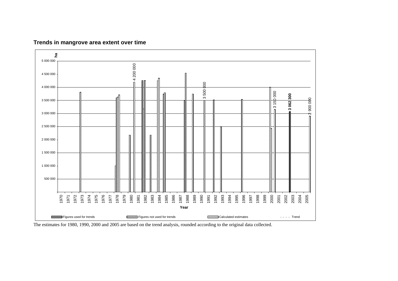

#### **Trends in mangrove area extent over time**

The estimates for 1980, 1990, 2000 and 2005 are based on the trend analysis, rounded according to the original data collected.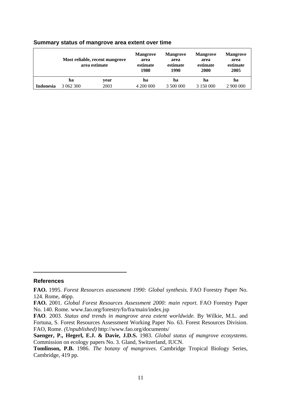|                  | Most reliable, recent mangrove<br>area estimate |      | <b>Mangrove</b><br>area<br>estimate<br>1980 | <b>Mangrove</b><br>area<br>estimate<br>1990 | <b>Mangrove</b><br>area<br>estimate<br>2000 | <b>Mangrove</b><br>area<br>estimate<br>2005 |
|------------------|-------------------------------------------------|------|---------------------------------------------|---------------------------------------------|---------------------------------------------|---------------------------------------------|
|                  | ha                                              | year | ha                                          | ha                                          | ha                                          | ha                                          |
| <b>Indonesia</b> | 3 062 300                                       | 2003 | 4 200 000                                   | 3 500 000                                   | 3 150 000                                   | 2 900 000                                   |

#### **Summary status of mangrove area extent over time**

#### **References**

**FAO.** 1995. *Forest Resources assessment 1990: Global synthesis.* FAO Forestry Paper No. 124. Rome, 46pp.

**FAO.** 2001. *Global Forest Resources Assessment 2000: main report.* FAO Forestry Paper No. 140. Rome. www.fao.org/forestry/fo/fra/main/index.jsp

**FAO**. 2003. *Status and trends in mangrove area extent worldwide.* By Wilkie, M.L. and Fortuna, S. Forest Resources Assessment Working Paper No. 63. Forest Resources Division. FAO, Rome. *(Unpublished)* http://www.fao.org/documents/

**Saenger, P., Hegerl, E.J. & Davie, J.D.S.** 1983. *Global status of mangrove ecosystems*. Commission on ecology papers No. 3. Gland, Switzerland, IUCN.

**Tomlinson, P.B.** 1986. *The botany of mangroves.* Cambridge Tropical Biology Series, Cambridge, 419 pp.